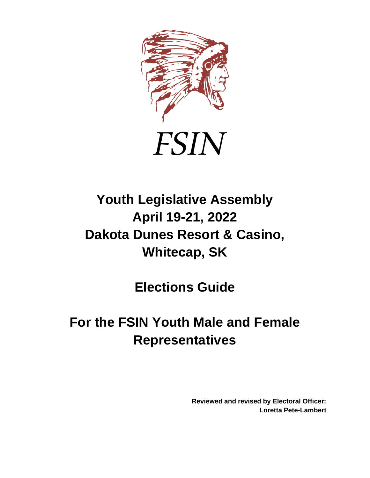

# **FSIN**

# **Youth Legislative Assembly April 19-21, 2022 Dakota Dunes Resort & Casino, Whitecap, SK**

**Elections Guide**

## **For the FSIN Youth Male and Female Representatives**

**Reviewed and revised by Electoral Officer: Loretta Pete-Lambert**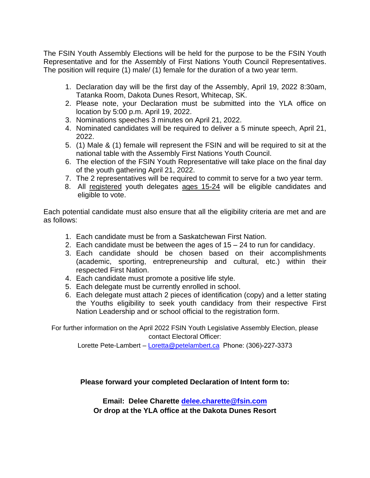The FSIN Youth Assembly Elections will be held for the purpose to be the FSIN Youth Representative and for the Assembly of First Nations Youth Council Representatives. The position will require (1) male/ (1) female for the duration of a two year term.

- 1. Declaration day will be the first day of the Assembly, April 19, 2022 8:30am, Tatanka Room, Dakota Dunes Resort, Whitecap, SK.
- 2. Please note, your Declaration must be submitted into the YLA office on location by 5:00 p.m. April 19, 2022.
- 3. Nominations speeches 3 minutes on April 21, 2022.
- 4. Nominated candidates will be required to deliver a 5 minute speech, April 21, 2022.
- 5. (1) Male & (1) female will represent the FSIN and will be required to sit at the national table with the Assembly First Nations Youth Council.
- 6. The election of the FSIN Youth Representative will take place on the final day of the youth gathering April 21, 2022.
- 7. The 2 representatives will be required to commit to serve for a two year term.
- 8. All registered youth delegates ages 15-24 will be eligible candidates and eligible to vote.

Each potential candidate must also ensure that all the eligibility criteria are met and are as follows:

- 1. Each candidate must be from a Saskatchewan First Nation.
- 2. Each candidate must be between the ages of 15 24 to run for candidacy.
- 3. Each candidate should be chosen based on their accomplishments (academic, sporting, entrepreneurship and cultural, etc.) within their respected First Nation.
- 4. Each candidate must promote a positive life style.
- 5. Each delegate must be currently enrolled in school.
- 6. Each delegate must attach 2 pieces of identification (copy) and a letter stating the Youths eligibility to seek youth candidacy from their respective First Nation Leadership and or school official to the registration form.

For further information on the April 2022 FSIN Youth Legislative Assembly Election, please contact Electoral Officer:

Lorette Pete-Lambert – Loretta@pe[telambert.ca](mailto:Loretta@petelambert.ca) Phone: (306)-227-3373

#### **Please forward your complet[ed Declaration of Intent fo](mailto:delee.charette@fsin.com)rm to:**

**Email: Delee Charette delee.charette@fsin.com Or drop at the YLA office at the Dakota Dunes Resort**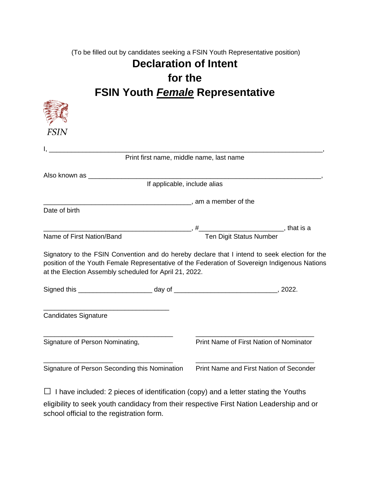(To be filled out by candidates seeking a FSIN Youth Representative position)

### **Declaration of Intent for the FSIN Youth** *Female* **Representative**

| <b>FSIN</b>                                                                                                                                                                                                                                                                                                    |                                          |  |
|----------------------------------------------------------------------------------------------------------------------------------------------------------------------------------------------------------------------------------------------------------------------------------------------------------------|------------------------------------------|--|
|                                                                                                                                                                                                                                                                                                                | Print first name, middle name, last name |  |
|                                                                                                                                                                                                                                                                                                                |                                          |  |
|                                                                                                                                                                                                                                                                                                                | If applicable, include alias             |  |
|                                                                                                                                                                                                                                                                                                                |                                          |  |
| Date of birth                                                                                                                                                                                                                                                                                                  |                                          |  |
|                                                                                                                                                                                                                                                                                                                |                                          |  |
|                                                                                                                                                                                                                                                                                                                |                                          |  |
| of First Nation/Band Ten Digit Status Number, that is a Ten Digit Status Number<br>Name of First Nation/Band<br>Signatory to the FSIN Convention and do hereby declare that I intend to seek election for the<br>position of the Youth Female Representative of the Federation of Sovereign Indigenous Nations |                                          |  |
|                                                                                                                                                                                                                                                                                                                |                                          |  |
| at the Election Assembly scheduled for April 21, 2022.<br>Signed this ____________________________ day of _________________________________, 2022.<br><b>Candidates Signature</b>                                                                                                                              |                                          |  |
| Signature of Person Nominating,                                                                                                                                                                                                                                                                                | Print Name of First Nation of Nominator  |  |

 $\Box$  I have included: 2 pieces of identification (copy) and a letter stating the Youths eligibility to seek youth candidacy from their respective First Nation Leadership and or school official to the registration form.